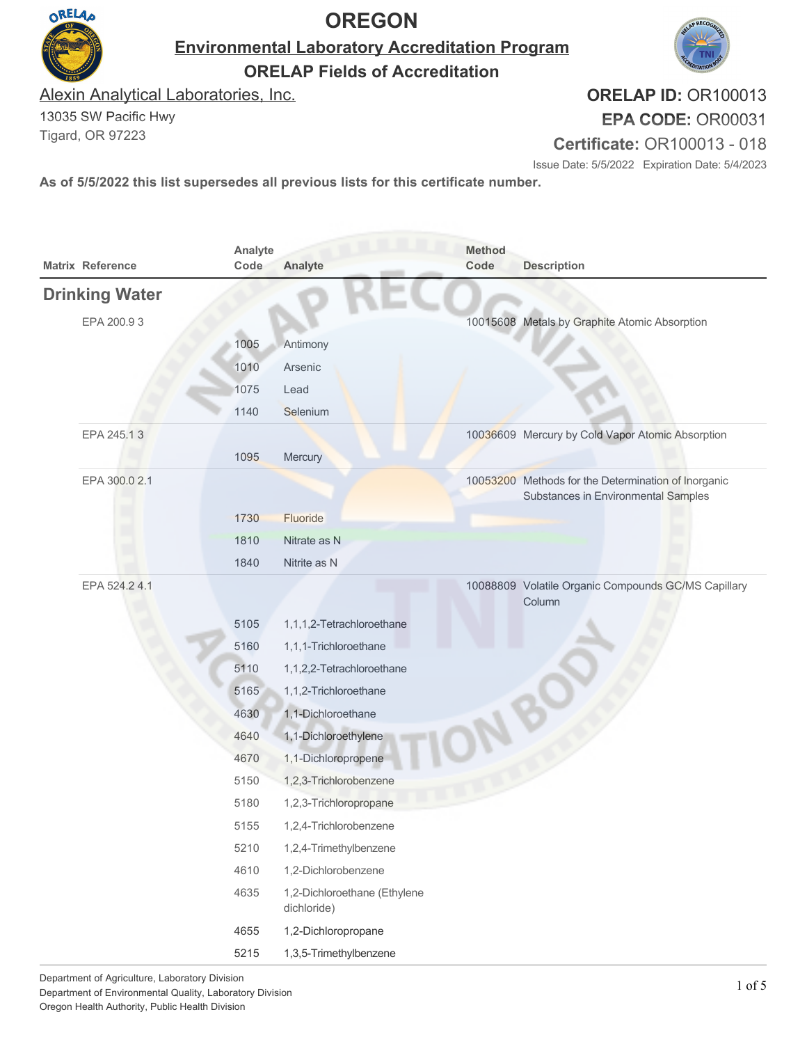

**Environmental Laboratory Accreditation Program**



**ORELAP Fields of Accreditation**

Alexin Analytical Laboratories, Inc.

13035 SW Pacific Hwy Tigard, OR 97223

ORELAD

**ORELAP ID:** OR100013 **EPA CODE:** OR00031

**Certificate:** OR100013 - 018

Issue Date: 5/5/2022 Expiration Date: 5/4/2023

| <b>Matrix Reference</b> | Analyte<br>Code | Analyte                                     | <b>Method</b><br>Code | <b>Description</b>                                                                         |
|-------------------------|-----------------|---------------------------------------------|-----------------------|--------------------------------------------------------------------------------------------|
| <b>Drinking Water</b>   |                 |                                             |                       |                                                                                            |
| EPA 200.93              |                 |                                             |                       | 10015608 Metals by Graphite Atomic Absorption                                              |
|                         | 1005            | Antimony                                    |                       |                                                                                            |
|                         | 1010            | Arsenic                                     |                       |                                                                                            |
|                         | 1075            | Lead                                        |                       |                                                                                            |
|                         | 1140            | Selenium                                    |                       |                                                                                            |
| EPA 245.13              |                 |                                             |                       | 10036609 Mercury by Cold Vapor Atomic Absorption                                           |
|                         | 1095            | Mercury                                     |                       |                                                                                            |
| EPA 300.0 2.1           |                 |                                             |                       | 10053200 Methods for the Determination of Inorganic<br>Substances in Environmental Samples |
|                         | 1730            | Fluoride                                    |                       |                                                                                            |
|                         | 1810            | Nitrate as N                                |                       |                                                                                            |
|                         | 1840            | Nitrite as N                                |                       |                                                                                            |
| EPA 524.24.1            |                 |                                             |                       | 10088809 Volatile Organic Compounds GC/MS Capillary<br>Column                              |
|                         | 5105            | 1,1,1,2-Tetrachloroethane                   |                       |                                                                                            |
|                         | 5160            | 1,1,1-Trichloroethane                       |                       |                                                                                            |
|                         | 5110            | 1,1,2,2-Tetrachloroethane                   |                       |                                                                                            |
|                         | 5165            | 1,1,2-Trichloroethane                       |                       |                                                                                            |
|                         | 4630            | 1,1-Dichloroethane                          |                       |                                                                                            |
|                         | 4640            | 1,1-Dichloroethylene                        |                       |                                                                                            |
|                         | 4670            | 1,1-Dichloropropene                         |                       |                                                                                            |
|                         | 5150            | 1,2,3-Trichlorobenzene                      |                       |                                                                                            |
|                         | 5180            | 1,2,3-Trichloropropane                      |                       |                                                                                            |
|                         | 5155            | 1,2,4-Trichlorobenzene                      |                       |                                                                                            |
|                         | 5210            | 1,2,4-Trimethylbenzene                      |                       |                                                                                            |
|                         | 4610            | 1,2-Dichlorobenzene                         |                       |                                                                                            |
|                         | 4635            | 1,2-Dichloroethane (Ethylene<br>dichloride) |                       |                                                                                            |
|                         | 4655            | 1,2-Dichloropropane                         |                       |                                                                                            |
|                         | 5215            | 1,3,5-Trimethylbenzene                      |                       |                                                                                            |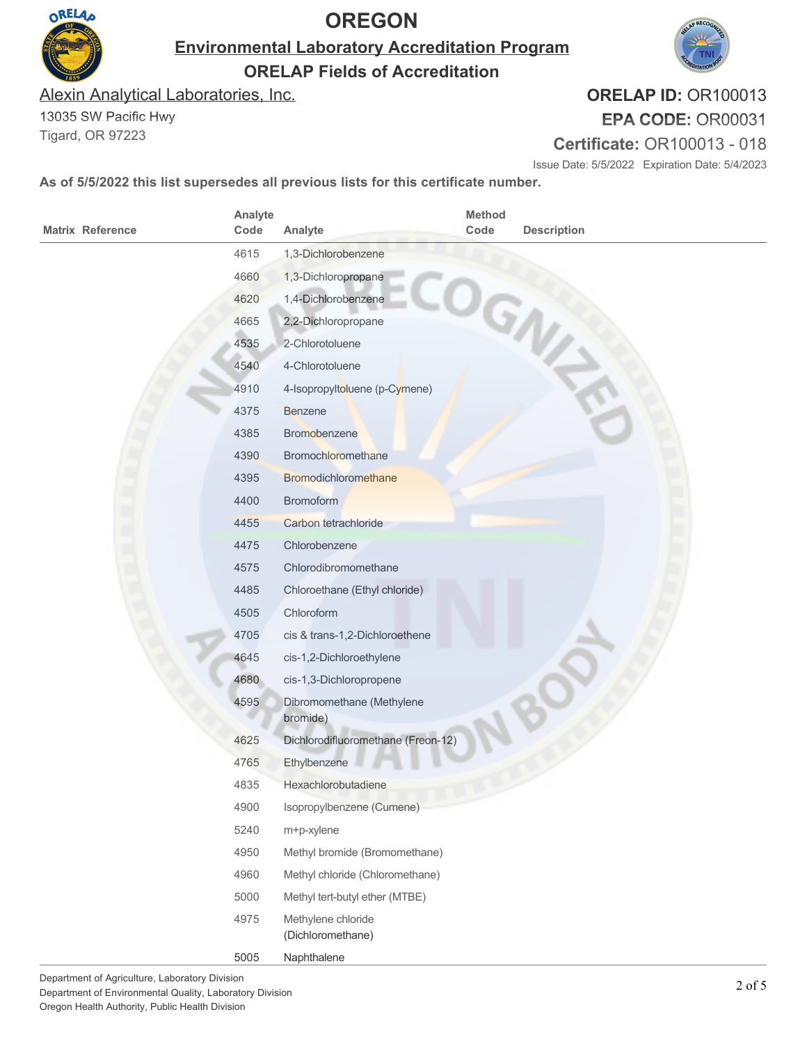

**Environmental Laboratory Accreditation Program**

**ORELAP Fields of Accreditation**

Alexin Analytical Laboratories, Inc.

13035 SW Pacific Hwy Tigard, OR 97223

**ORELAP ID:** OR100013

**EPA CODE:** OR00031

**Certificate:** OR100013 - 018

Issue Date: 5/5/2022 Expiration Date: 5/4/2023

| <b>Matrix Reference</b> | Analyte<br>Code | Analyte                                 | Method<br>Code | <b>Description</b> |
|-------------------------|-----------------|-----------------------------------------|----------------|--------------------|
|                         | 4615            | 1,3-Dichlorobenzene                     |                |                    |
|                         | 4660            | 1,3-Dichloropropane                     |                |                    |
|                         | 4620            | 1,4-Dichlorobenzene                     |                |                    |
|                         | 4665            | 2,2-Dichloropropane                     |                |                    |
|                         | 4535            | 2-Chlorotoluene                         |                | GNV                |
|                         | 4540            | 4-Chlorotoluene                         |                |                    |
|                         | 4910            | 4-Isopropyltoluene (p-Cymene)           |                |                    |
|                         | 4375            | <b>Benzene</b>                          |                |                    |
|                         | 4385            | Bromobenzene                            |                |                    |
|                         | 4390            | Bromochloromethane                      |                |                    |
|                         | 4395            | Bromodichloromethane                    |                |                    |
|                         | 4400            | <b>Bromoform</b>                        |                |                    |
|                         | 4455            | Carbon tetrachloride                    |                |                    |
|                         | 4475            | Chlorobenzene                           |                |                    |
|                         | 4575            | Chlorodibromomethane                    |                |                    |
|                         | 4485            | Chloroethane (Ethyl chloride)           |                |                    |
|                         | 4505            | Chloroform                              |                |                    |
|                         | 4705            | cis & trans-1,2-Dichloroethene          |                |                    |
|                         | 4645            | cis-1,2-Dichloroethylene                |                |                    |
|                         | 4680            | cis-1,3-Dichloropropene                 |                |                    |
|                         | 4595            | Dibromomethane (Methylene<br>bromide)   |                |                    |
|                         | 4625            | Dichlorodifluoromethane (Freon-12)      |                |                    |
|                         | 4765            | Ethylbenzene                            |                |                    |
|                         | 4835            | Hexachlorobutadiene                     |                |                    |
|                         | 4900            | Isopropylbenzene (Cumene)               |                |                    |
|                         | 5240            | m+p-xylene                              |                |                    |
|                         | 4950            | Methyl bromide (Bromomethane)           |                |                    |
|                         | 4960            | Methyl chloride (Chloromethane)         |                |                    |
|                         | 5000            | Methyl tert-butyl ether (MTBE)          |                |                    |
|                         | 4975            | Methylene chloride<br>(Dichloromethane) |                |                    |
|                         | 5005            | Naphthalene                             |                |                    |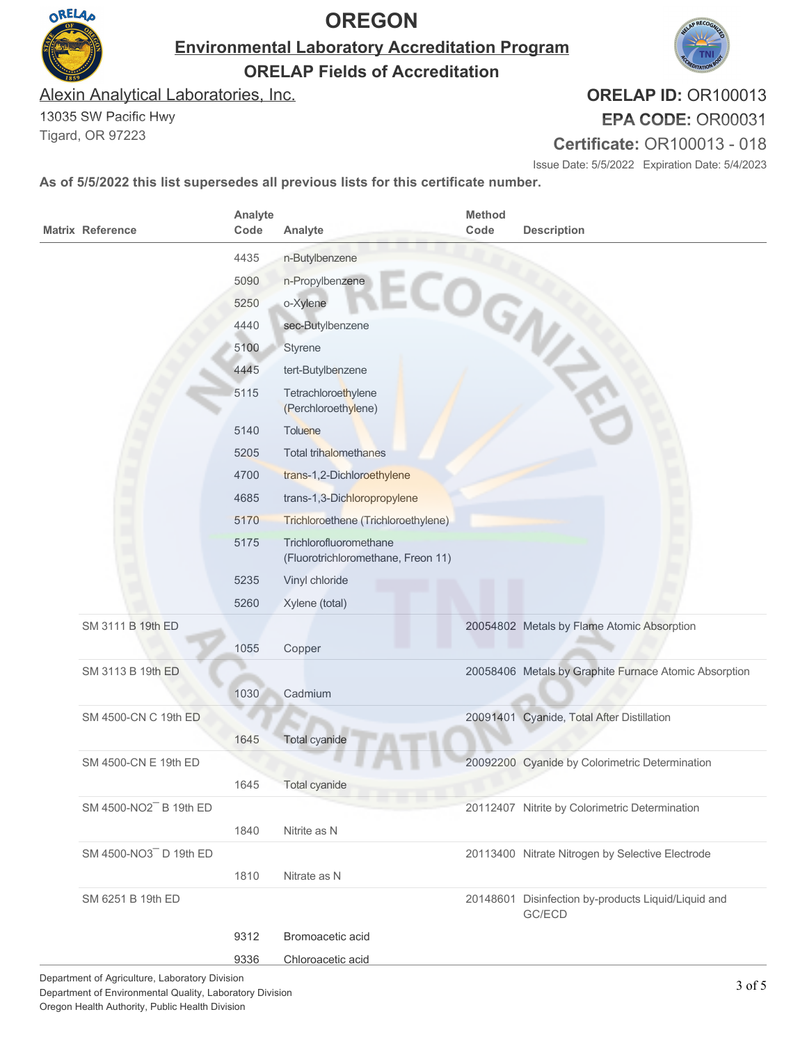

**Environmental Laboratory Accreditation Program**

**ORELAP Fields of Accreditation**

Alexin Analytical Laboratories, Inc.

13035 SW Pacific Hwy Tigard, OR 97223

**ORELAP ID:** OR100013 **EPA CODE:** OR00031

**Certificate:** OR100013 - 018

Issue Date: 5/5/2022 Expiration Date: 5/4/2023

| <b>Matrix Reference</b> | Analyte<br>Code | Analyte                                                      | Method<br>Code | <b>Description</b>                                            |
|-------------------------|-----------------|--------------------------------------------------------------|----------------|---------------------------------------------------------------|
|                         | 4435            | n-Butylbenzene                                               |                |                                                               |
|                         | 5090            | n-Propylbenzene                                              |                |                                                               |
|                         | 5250            | o-Xylene                                                     |                | COGNE                                                         |
|                         | 4440            | sec-Butylbenzene                                             |                |                                                               |
|                         | 5100            | Styrene                                                      |                |                                                               |
|                         | 4445            | tert-Butylbenzene                                            |                |                                                               |
|                         | 5115            | Tetrachloroethylene<br>(Perchloroethylene)                   |                |                                                               |
|                         | 5140            | Toluene                                                      |                |                                                               |
|                         | 5205            | <b>Total trihalomethanes</b>                                 |                |                                                               |
|                         | 4700            | trans-1,2-Dichloroethylene                                   |                |                                                               |
|                         | 4685            | trans-1,3-Dichloropropylene                                  |                |                                                               |
|                         | 5170            | Trichloroethene (Trichloroethylene)                          |                |                                                               |
|                         | 5175            | Trichlorofluoromethane<br>(Fluorotrichloromethane, Freon 11) |                |                                                               |
|                         | 5235            | Vinyl chloride                                               |                |                                                               |
|                         | 5260            | Xylene (total)                                               |                |                                                               |
| SM 3111 B 19th ED       |                 |                                                              |                | 20054802 Metals by Flame Atomic Absorption                    |
|                         | 1055            | Copper                                                       |                |                                                               |
| SM 3113 B 19th ED       |                 |                                                              |                | 20058406 Metals by Graphite Furnace Atomic Absorption         |
|                         | 1030            | Cadmium                                                      |                |                                                               |
| SM 4500-CN C 19th ED    |                 |                                                              |                | 20091401 Cyanide, Total After Distillation                    |
|                         | 1645            | Total cyanide                                                |                |                                                               |
| SM 4500-CN E 19th ED    |                 |                                                              |                | 20092200 Cyanide by Colorimetric Determination                |
|                         | 1645            | <b>Total cyanide</b>                                         |                |                                                               |
| SM 4500-NO2 B 19th ED   |                 |                                                              |                | 20112407 Nitrite by Colorimetric Determination                |
|                         | 1840            | Nitrite as N                                                 |                |                                                               |
| SM 4500-NO3 D 19th ED   |                 |                                                              |                | 20113400 Nitrate Nitrogen by Selective Electrode              |
|                         | 1810            | Nitrate as N                                                 |                |                                                               |
| SM 6251 B 19th ED       |                 |                                                              |                | 20148601 Disinfection by-products Liquid/Liquid and<br>GC/ECD |
|                         | 9312            | Bromoacetic acid                                             |                |                                                               |
|                         | 9336            | Chloroacetic acid                                            |                |                                                               |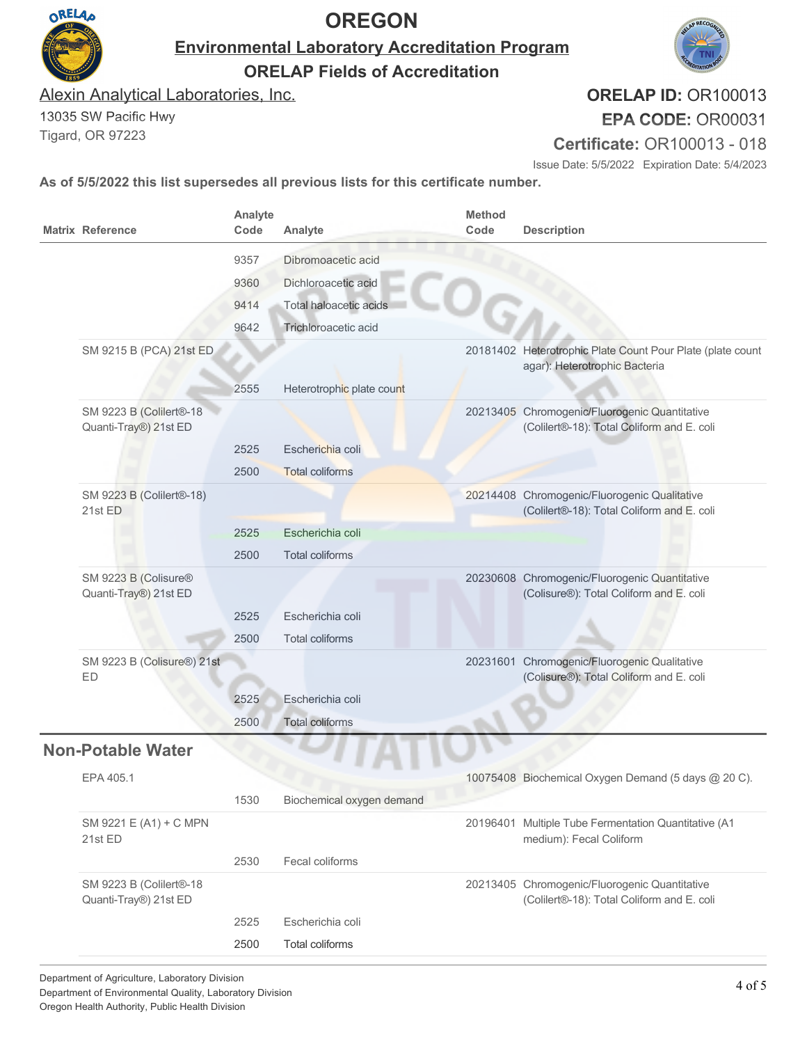

**Environmental Laboratory Accreditation Program**

**ORELAP Fields of Accreditation**

Alexin Analytical Laboratories, Inc.

13035 SW Pacific Hwy Tigard, OR 97223

**ORELAP ID:** OR100013 **EPA CODE:** OR00031

**Certificate:** OR100013 - 018

Issue Date: 5/5/2022 Expiration Date: 5/4/2023

| 20181402 Heterotrophic Plate Count Pour Plate (plate count<br>agar): Heterotrophic Bacteria |
|---------------------------------------------------------------------------------------------|
|                                                                                             |
| 20213405 Chromogenic/Fluorogenic Quantitative<br>(Colilert®-18): Total Coliform and E. coli |
|                                                                                             |
|                                                                                             |
| 20214408 Chromogenic/Fluorogenic Qualitative<br>(Colilert®-18): Total Coliform and E. coli  |
|                                                                                             |
|                                                                                             |
| 20230608 Chromogenic/Fluorogenic Quantitative<br>(Colisure®): Total Coliform and E. coli    |
|                                                                                             |
|                                                                                             |
| 20231601 Chromogenic/Fluorogenic Qualitative<br>(Colisure®): Total Coliform and E. coli     |
|                                                                                             |
|                                                                                             |
|                                                                                             |
| 10075408 Biochemical Oxygen Demand (5 days @ 20 C).                                         |
|                                                                                             |
| 20196401 Multiple Tube Fermentation Quantitative (A1                                        |
|                                                                                             |
| 20213405 Chromogenic/Fluorogenic Quantitative<br>(Colilert®-18): Total Coliform and E. coli |
|                                                                                             |
|                                                                                             |
|                                                                                             |